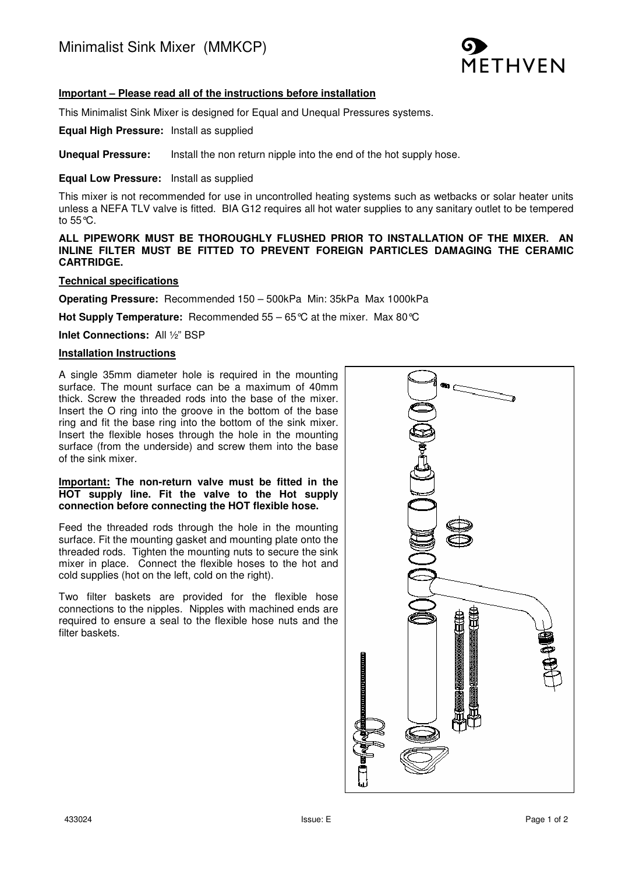

## **Important – Please read all of the instructions before installation**

This Minimalist Sink Mixer is designed for Equal and Unequal Pressures systems.

**Equal High Pressure:** Install as supplied

**Unequal Pressure:** Install the non return nipple into the end of the hot supply hose.

#### **Equal Low Pressure:** Install as supplied

This mixer is not recommended for use in uncontrolled heating systems such as wetbacks or solar heater units unless a NEFA TLV valve is fitted. BIA G12 requires all hot water supplies to any sanitary outlet to be tempered to 55°C.

**ALL PIPEWORK MUST BE THOROUGHLY FLUSHED PRIOR TO INSTALLATION OF THE MIXER. AN INLINE FILTER MUST BE FITTED TO PREVENT FOREIGN PARTICLES DAMAGING THE CERAMIC CARTRIDGE.** 

### **Technical specifications**

**Operating Pressure:** Recommended 150 – 500kPa Min: 35kPa Max 1000kPa

**Hot Supply Temperature:** Recommended 55 – 65°C at the mixer. Max 80°C

**Inlet Connections:** All ½" BSP

#### **Installation Instructions**

A single 35mm diameter hole is required in the mounting surface. The mount surface can be a maximum of 40mm thick. Screw the threaded rods into the base of the mixer. Insert the O ring into the groove in the bottom of the base ring and fit the base ring into the bottom of the sink mixer. Insert the flexible hoses through the hole in the mounting surface (from the underside) and screw them into the base of the sink mixer.

### **Important: The non-return valve must be fitted in the HOT supply line. Fit the valve to the Hot supply connection before connecting the HOT flexible hose.**

Feed the threaded rods through the hole in the mounting surface. Fit the mounting gasket and mounting plate onto the threaded rods. Tighten the mounting nuts to secure the sink mixer in place. Connect the flexible hoses to the hot and cold supplies (hot on the left, cold on the right).

Two filter baskets are provided for the flexible hose connections to the nipples. Nipples with machined ends are required to ensure a seal to the flexible hose nuts and the filter baskets.